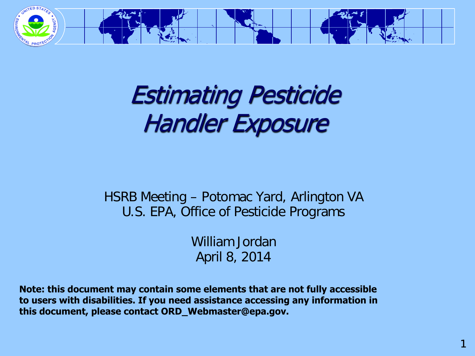

#### Estimating Pesticide Handler Exposure

#### HSRB Meeting – Potomac Yard, Arlington VA U.S. EPA, Office of Pesticide Programs

William Jordan April 8, 2014

**Note: this document may contain some elements that are not fully accessible to users with disabilities. If you need assistance accessing any information in this document, please contact ORD\_Webmaster@epa.gov.**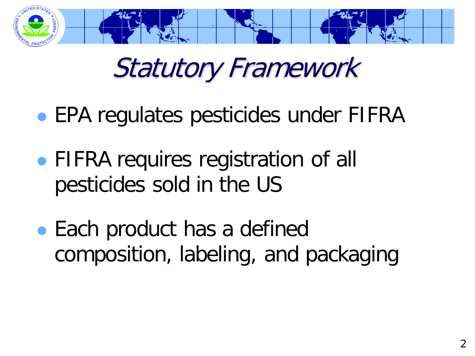

### Statutory Framework

- EPA regulates pesticides under FIFRA
- FIFRA requires registration of all pesticides sold in the US
- Each product has a defined composition, labeling, and packaging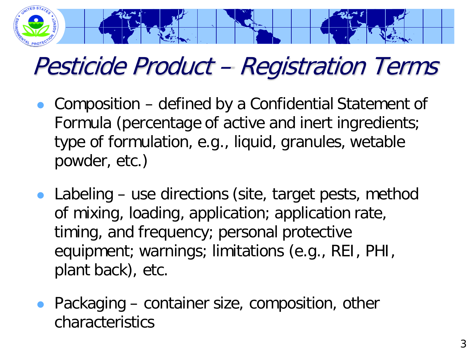

#### Pesticide Product – Registration Terms

- Composition defined by a Confidential Statement of Formula (percentage of active and inert ingredients; type of formulation, e.g., liquid, granules, wetable powder, etc.)
- Labeling use directions (site, target pests, method of mixing, loading, application; application rate, timing, and frequency; personal protective equipment; warnings; limitations (e.g., REI, PHI, plant back), etc.
- Packaging container size, composition, other characteristics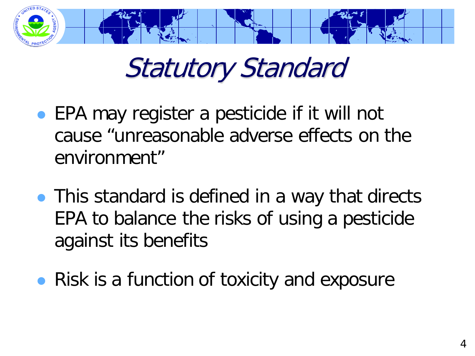

# Statutory Standard

- EPA may register a pesticide if it will not cause "unreasonable adverse effects on the environment"
- This standard is defined in a way that directs EPA to balance the risks of using a pesticide against its benefits
- Risk is a function of toxicity and exposure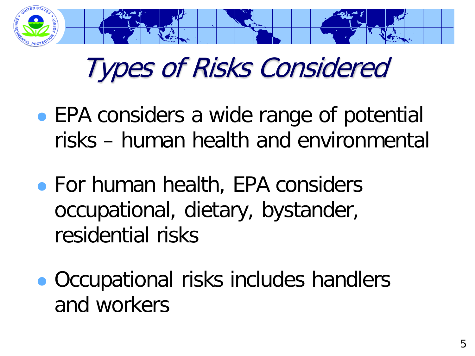

# Types of Risks Considered

- EPA considers a wide range of potential risks – human health and environmental
- For human health, EPA considers occupational, dietary, bystander, residential risks
- Occupational risks includes handlers and workers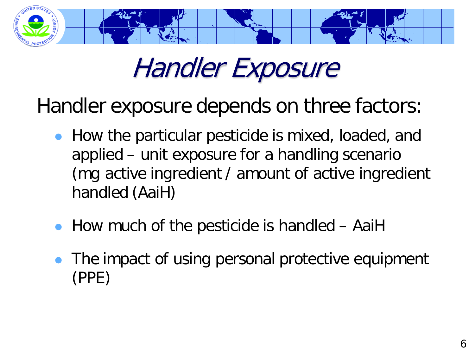

### Handler Exposure

Handler exposure depends on three factors:

- How the particular pesticide is mixed, loaded, and applied – unit exposure for a handling scenario (mg active ingredient / amount of active ingredient handled (AaiH)
- How much of the pesticide is handled AaiH
- The impact of using personal protective equipment (PPE)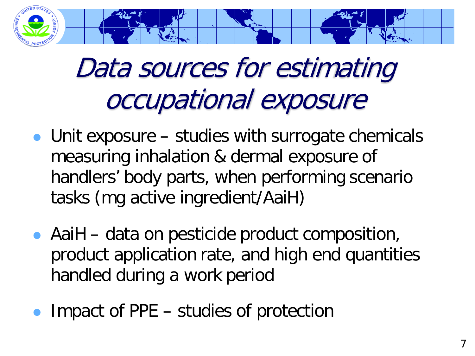

# Data sources for estimating occupational exposure

- Unit exposure studies with surrogate chemicals measuring inhalation & dermal exposure of handlers' body parts, when performing scenario tasks (mg active ingredient/AaiH)
- AaiH data on pesticide product composition, product application rate, and high end quantities handled during a work period
- Impact of PPE studies of protection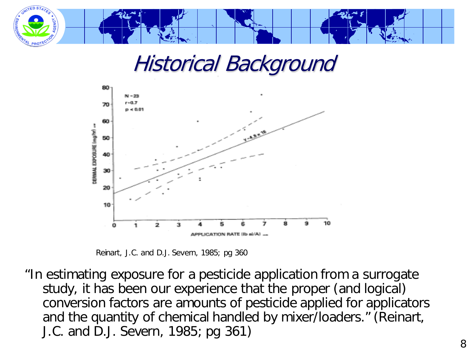

#### Historical Background



Reinart, J.C. and D.J. Severn, 1985; pg 360

"In estimating exposure for a pesticide application from a surrogate study, it has been our experience that the proper (and logical) conversion factors are amounts of pesticide applied for applicators and the quantity of chemical handled by mixer/loaders." (Reinart, J.C. and D.J. Severn, 1985; pg 361)